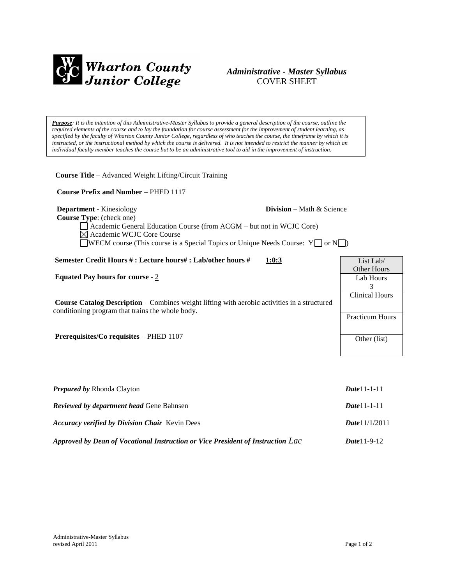

# *Administrative - Master Syllabus*  COVER SHEET

*Purpose: It is the intention of this Administrative-Master Syllabus to provide a general description of the course, outline the required elements of the course and to lay the foundation for course assessment for the improvement of student learning, as specified by the faculty of Wharton County Junior College, regardless of who teaches the course, the timeframe by which it is instructed, or the instructional method by which the course is delivered. It is not intended to restrict the manner by which an individual faculty member teaches the course but to be an administrative tool to aid in the improvement of instruction.*

**Course Title** – Advanced Weight Lifting/Circuit Training

 **Course Prefix and Number** – PHED 1117

**Department** - Kinesiology **Division** – Math & Science

 **Course Type**: (check one)

Academic General Education Course (from ACGM – but not in WCJC Core) Academic WCJC Core Course **WECM** course (This course is a Special Topics or Unique Needs Course:  $Y \cap N$ )

| Semester Credit Hours #: Lecture hours#: Lab/other hours #<br>1:0:3                                                                                     | List Lab/              |
|---------------------------------------------------------------------------------------------------------------------------------------------------------|------------------------|
|                                                                                                                                                         | Other Hours            |
| <b>Equated Pay hours for course - 2</b>                                                                                                                 | Lab Hours              |
|                                                                                                                                                         |                        |
| <b>Course Catalog Description</b> – Combines weight lifting with aerobic activities in a structured<br>conditioning program that trains the whole body. | <b>Clinical Hours</b>  |
|                                                                                                                                                         |                        |
|                                                                                                                                                         | <b>Practicum Hours</b> |
|                                                                                                                                                         |                        |
| <b>Prerequisites/Co requisites – PHED 1107</b>                                                                                                          | Other (list)           |
|                                                                                                                                                         |                        |

| <b>Prepared by Rhonda Clayton</b>                                               | $Date 11 - 1 - 11$    |
|---------------------------------------------------------------------------------|-----------------------|
| <b>Reviewed by department head Gene Bahnsen</b>                                 | $Date 11 - 1 - 11$    |
| <b>Accuracy verified by Division Chair</b> Kevin Dees                           | Date 11/1/2011        |
| Approved by Dean of Vocational Instruction or Vice President of Instruction Lac | <i>Date</i> $11-9-12$ |